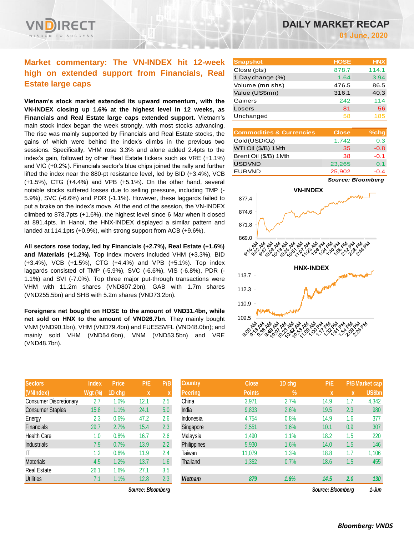# **Market commentary: The VN-INDEX hit 12-week high on extended support from Financials, Real Estate large caps**

**Vietnam's stock market extended its upward momentum, with the VN-INDEX closing up 1.6% at the highest level in 12 weeks, as Financials and Real Estate large caps extended support.** Vietnam's main stock index began the week strongly, with most stocks advancing. The rise was mainly supported by Financials and Real Estate stocks, the gains of which were behind the index's climbs in the previous two sessions. Specifically, VHM rose 3.3% and alone added 2.4pts to the index's gain, followed by other Real Estate tickers such as VRE (+1.1%) and VIC (+0.2%). Financials sector's blue chips joined the rally and further lifted the index near the 880-pt resistance level**,** led by BID (+3.4%), VCB (+1.5%), CTG (+4.4%) and VPB (+5.1%). On the other hand, several notable stocks suffered losses due to selling pressure, including TMP (- 5.9%), SVC (-6.6%) and PDR (-1.1%). However, these laggards failed to put a brake on the index's move. At the end of the session, the VN-INDEX climbed to 878.7pts (+1.6%), the highest level since 6 Mar when it closed at 891.4pts. In Hanoi, the HNX-INDEX displayed a similar pattern and landed at 114.1pts (+0.9%), with strong support from ACB (+9.6%).

**All sectors rose today, led by Financials (+2.7%), Real Estate (+1.6%) and Materials (+1.2%).** Top index movers included VHM (+3.3%), BID (+3.4%), VCB (+1.5%), CTG (+4.4%) and VPB (+5.1%). Top index laggards consisted of TMP (-5.9%), SVC (-6.6%), VIS (-6.8%), PDR (- 1.1%) and SVI (-7.0%). Top three major put-through transactions were VHM with 11.2m shares (VND807.2bn), GAB with 1.7m shares (VND255.5bn) and SHB with 5.2m shares (VND73.2bn).

**Foreigners net bought on HOSE to the amount of VND31.4bn, while net sold on HNX to the amount of VND26.7bn.** They mainly bought VNM (VND90.1bn), VHM (VND79.4bn) and FUESSVFL (VND48.0bn); and mainly sold VHM (VND54.6bn), VNM (VND53.5bn) and VRE (VND48.7bn).

| <b>Sectors</b>                | <b>Index</b>   | <b>Price</b> | P/E  | P/B           |
|-------------------------------|----------------|--------------|------|---------------|
| (VNIndex)                     | <b>Wgt (%)</b> | 1D chg       | X    | X             |
| <b>Consumer Discretionary</b> | 2.7            | 1.0%         | 12.1 | 2.5           |
| <b>Consumer Staples</b>       | 15.8           | 1.1%         | 24.1 | 5.0           |
| Energy                        | 2.3            | 0.6%         | 47.2 | 2.6           |
| Financials                    | 29.7           | 2.7%         | 15.4 | 2.3           |
| <b>Health Care</b>            | 1.0            | 0.8%         | 16.7 | 2.6           |
| <b>Industrials</b>            | 7.9            | 0.7%         | 13.9 | $2.2^{\circ}$ |
| ΙT                            | 1.2            | 0.6%         | 11.9 | 2.4           |
| <b>Materials</b>              | 4.5            | 1.2%         | 13.7 | 1.6           |
| <b>Real Estate</b>            | 26.1           | 1.6%         | 27.1 | 3.5           |
| <b>Utilities</b>              | 7.1            | 1.1%         | 12.8 | 2.3           |

*Source: Bloomberg Source: Bloomberg 1-Jun*

| <b>Snapshot</b>  | <b>HOSE</b> | <b>HNX</b> |
|------------------|-------------|------------|
| Close (pts)      | 878.7       | 114.1      |
| 1 Day change (%) | 1.64        | 3.94       |
| Volume (mn shs)  | 476.5       | 86.5       |
| Value (US\$mn)   | 316.1       | 40.3       |
| Gainers          | 242         | 114        |
| Losers           | 81          | 56         |
| Unchanged        | 58          | 185        |

| <b>Commodities &amp; Currencies</b> | <b>Close</b> | $%$ chg |
|-------------------------------------|--------------|---------|
| Gold(USD/Oz)                        | 1,742        | 0.3     |
| WTI Oil (\$/B) 1Mth                 | 35           | $-0.8$  |
| Brent Oil (\$/B) 1Mth               | 38           | $-0.1$  |
| <b>USDVND</b>                       | 23,265       | 0.1     |
| <b>EURVND</b>                       | 25,902       | -0.4    |

*Source: Bloomberg*



| <b>Sectors</b>          | <b>Index</b> | <b>Price</b> | P/E               | P/B          | <b>Country</b> | <b>Close</b>  | 1D chg | P/E               |     | <b>P/B Market cap</b> |
|-------------------------|--------------|--------------|-------------------|--------------|----------------|---------------|--------|-------------------|-----|-----------------------|
| (VNIndex)               | Wgt (%)      | 1D chg       | $\mathbf x$       | $\mathbf{v}$ | <b>Peering</b> | <b>Points</b> | $\%$   | X                 | X   | <b>US\$bn</b>         |
| Consumer Discretionary  | 2.7          | $1.0\%$      | 12.1              | 2.5          | China          | 3,971         | 2.7%   | 14.9              | 1.7 | 4,342                 |
| <b>Consumer Staples</b> | 15.8         | 1.1%         | 24.1              | 5.0          | India          | 9,833         | 2.6%   | 19.5              | 2.3 | 980                   |
| Energy                  | 2.3          | 0.6%         | 47.2              | 2.6          | Indonesia      | 4,754         | 0.8%   | 14.9              | 1.6 | 377                   |
| <b>Financials</b>       | 29.7         | 2.7%         | 15.4              | 2.3          | Singapore      | 2,551         | 1.6%   | 10.1              | 0.9 | 307                   |
| Health Care             | 1.0          | 0.8%         | 16.7              | 2.6          | Malaysia       | 1,490         | 1.1%   | 18.2              | 1.5 | 220                   |
| Industrials             | 7.9          | 0.7%         | 13.9              | 2.2          | Philippines    | 5,930         | 1.6%   | 14.0              | 1.5 | 146                   |
|                         | 1.2          | 0.6%         | 11.9              | 2.4          | Taiwan         | 11,079        | 1.3%   | 18.8              | 1.7 | 1,106                 |
| Materials               | 4.5          | 1.2%         | 13.7              | 1.6          | Thailand       | 1,352         | 0.7%   | 18.6              | 1.5 | 455                   |
| Real Estate             | 26.1         | $1.6\%$      | 27.1              | 3.5          |                |               |        |                   |     |                       |
| Utilities               | 7.1          | 1.1%         | 12.8              | 2.3          | <b>Vietnam</b> | 879           | 1.6%   | 14.5              | 2.0 | 130                   |
|                         |              |              | Source: Bloomberg |              |                |               |        | Source: Bloomberg |     | 1-Jun                 |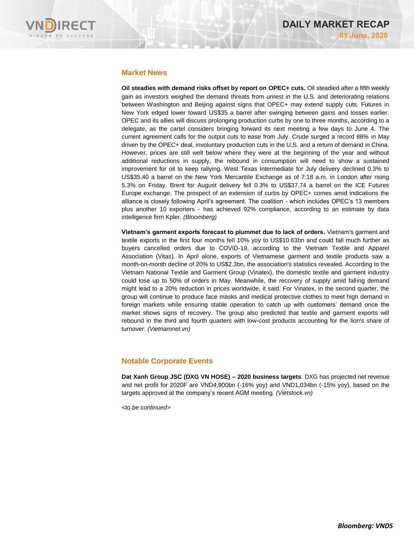

## **Market News**

**Oil steadies with demand risks offset by report on OPEC+ cuts.** Oil steadied after a fifth weekly gain as investors weighed the demand threats from unrest in the U.S. and deteriorating relations between Washington and Beijing against signs that OPEC+ may extend supply cuts. Futures in New York edged lower toward US\$35 a barrel after swinging between gains and losses earlier. OPEC and its allies will discuss prolonging production curbs by one to three months, according to a delegate, as the cartel considers bringing forward its next meeting a few days to June 4. The current agreement calls for the output cuts to ease from July. Crude surged a record 88% in May driven by the OPEC+ deal, involuntary production cuts in the U.S. and a return of demand in China. However, prices are still well below where they were at the beginning of the year and without additional reductions in supply, the rebound in consumption will need to show a sustained improvement for oil to keep rallying. West Texas Intermediate for July delivery declined 0.3% to US\$35.40 a barrel on the New York Mercantile Exchange as of 7:18 a.m. in London after rising 5.3% on Friday. Brent for August delivery fell 0.3% to US\$37.74 a barrel on the ICE Futures Europe exchange. The prospect of an extension of curbs by OPEC+ comes amid indications the alliance is closely following April's agreement. The coalition - which includes OPEC's 13 members plus another 10 exporters - has achieved 92% compliance, according to an estimate by data intelligence firm Kpler. *(Bloomberg)*

**Vietnam's garment exports forecast to plummet due to lack of orders.** Vietnam's garment and textile exports in the first four months fell 10% yoy to US\$10.63bn and could fall much further as buyers cancelled orders due to COVID-19, according to the Vietnam Textile and Apparel Association (Vitas). In April alone, exports of Vietnamese garment and textile products saw a month-on-month decline of 20% to US\$2.3bn, the association's statistics revealed. According to the Vietnam National Textile and Garment Group (Vinatex), the domestic textile and garment industry could lose up to 50% of orders in May. Meanwhile, the recovery of supply amid falling demand might lead to a 20% reduction in prices worldwide, it said. For Vinatex, in the second quarter, the group will continue to produce face masks and medical protective clothes to meet high demand in foreign markets while ensuring stable operation to catch up with customers' demand once the market shows signs of recovery. The group also predicted that textile and garment exports will rebound in the third and fourth quarters with low-cost products accounting for the lion's share of turnover. *(Vietnamnet.vn)*

# **Notable Corporate Events**

**Dat Xanh Group JSC (DXG VN HOSE) – 2020 business targets**: DXG has projected net revenue and net profit for 2020F are VND4,900bn (-16% yoy) and VND1,034bn (-15% yoy), based on the targets approved at the company's recent AGM meeting*. (Vietstock.vn)*

*<to be continued>*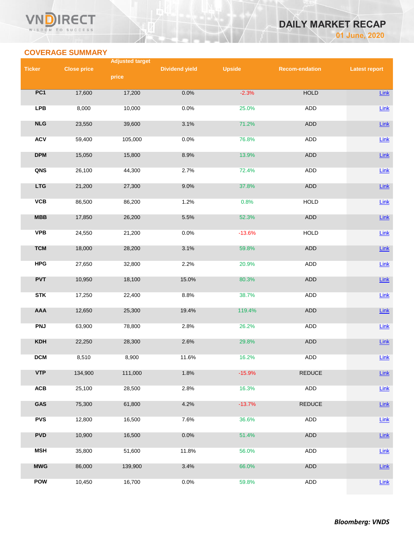## VI **RECT** WISDOM TO SUCCESS

# **DAILY MARKET RECAP 01 June, 2020**

# **COVERAGE SUMMARY**

|               |                    | <b>Adjusted target</b> |                       |               |                       |                      |
|---------------|--------------------|------------------------|-----------------------|---------------|-----------------------|----------------------|
| <b>Ticker</b> | <b>Close price</b> |                        | <b>Dividend yield</b> | <b>Upside</b> | <b>Recom-endation</b> | <b>Latest report</b> |
|               |                    | price                  |                       |               |                       |                      |
| PC1           | 17,600             | 17,200                 | 0.0%                  | $-2.3%$       | <b>HOLD</b>           | Link                 |
| <b>LPB</b>    | 8,000              | 10,000                 | 0.0%                  | 25.0%         | ADD                   | Link                 |
| NLG           | 23,550             | 39,600                 | 3.1%                  | 71.2%         | ADD                   | Link                 |
| <b>ACV</b>    | 59,400             | 105,000                | 0.0%                  | 76.8%         | <b>ADD</b>            | Link                 |
| <b>DPM</b>    | 15,050             | 15,800                 | 8.9%                  | 13.9%         | <b>ADD</b>            | Link                 |
| QNS           | 26,100             | 44,300                 | 2.7%                  | 72.4%         | ADD                   | Link                 |
| <b>LTG</b>    | 21,200             | 27,300                 | 9.0%                  | 37.8%         | <b>ADD</b>            | $Link$               |
| VCB           | 86,500             | 86,200                 | 1.2%                  | 0.8%          | <b>HOLD</b>           | Link                 |
| <b>MBB</b>    | 17,850             | 26,200                 | 5.5%                  | 52.3%         | ADD                   | $Link$               |
| <b>VPB</b>    | 24,550             | 21,200                 | 0.0%                  | $-13.6%$      | <b>HOLD</b>           | Link                 |
| <b>TCM</b>    | 18,000             | 28,200                 | 3.1%                  | 59.8%         | <b>ADD</b>            | Link                 |
| <b>HPG</b>    | 27,650             | 32,800                 | 2.2%                  | 20.9%         | ADD                   | Link                 |
| <b>PVT</b>    | 10,950             | 18,100                 | 15.0%                 | 80.3%         | <b>ADD</b>            | Link                 |
| <b>STK</b>    | 17,250             | 22,400                 | 8.8%                  | 38.7%         | ADD                   | Link                 |
| <b>AAA</b>    | 12,650             | 25,300                 | 19.4%                 | 119.4%        | ADD                   | $Link$               |
| <b>PNJ</b>    | 63,900             | 78,800                 | 2.8%                  | 26.2%         | <b>ADD</b>            | Link                 |
| KDH           | 22,250             | 28,300                 | 2.6%                  | 29.8%         | <b>ADD</b>            | Link                 |
| <b>DCM</b>    | 8,510              | 8,900                  | 11.6%                 | 16.2%         | ADD                   | Link                 |
| <b>VTP</b>    | 134,900            | 111,000                | 1.8%                  | $-15.9%$      | <b>REDUCE</b>         | Link                 |
| ACB           | 25,100             | 28,500                 | 2.8%                  | 16.3%         | ADD                   | Link                 |
| GAS           | 75,300             | 61,800                 | 4.2%                  | $-13.7%$      | <b>REDUCE</b>         | Link                 |
| <b>PVS</b>    | 12,800             | 16,500                 | 7.6%                  | 36.6%         | ADD                   | Link                 |
| <b>PVD</b>    | 10,900             | 16,500                 | 0.0%                  | 51.4%         | ADD                   | $Link$               |
| <b>MSH</b>    | 35,800             | 51,600                 | 11.8%                 | 56.0%         | ADD                   | Link                 |
| <b>MWG</b>    | 86,000             | 139,900                | 3.4%                  | 66.0%         | ADD                   | $Link$               |
| POW           | 10,450             | 16,700                 | 0.0%                  | 59.8%         | ADD                   | Link                 |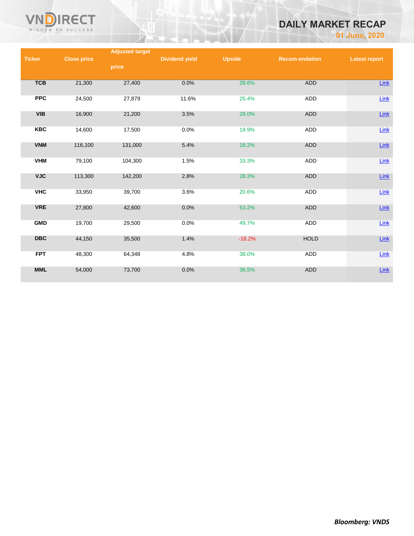

# **DAILY MARKET RECAP**

**01 June, 2020**

|               |                    | <b>Adjusted target</b> |                       |               |                       |                      |
|---------------|--------------------|------------------------|-----------------------|---------------|-----------------------|----------------------|
| <b>Ticker</b> | <b>Close price</b> |                        | <b>Dividend yield</b> | <b>Upside</b> | <b>Recom-endation</b> | <b>Latest report</b> |
|               |                    | price                  |                       |               |                       |                      |
|               |                    |                        |                       |               |                       |                      |
| <b>TCB</b>    | 21,300             | 27,400                 | 0.0%                  | 28.6%         | <b>ADD</b>            | Link                 |
|               |                    |                        |                       |               |                       |                      |
| <b>PPC</b>    | 24,500             | 27,879                 | 11.6%                 | 25.4%         | ADD                   | $Link$               |
|               |                    |                        |                       |               |                       |                      |
| <b>VIB</b>    | 16,900             | 21,200                 | 3.5%                  | 29.0%         | ADD                   | $Link$               |
|               |                    |                        |                       |               |                       |                      |
| <b>KBC</b>    | 14,600             | 17,500                 | 0.0%                  | 19.9%         | ADD                   | $Link$               |
|               |                    |                        |                       |               |                       |                      |
| <b>VNM</b>    | 116,100            | 131,000                | 5.4%                  | 18.2%         | <b>ADD</b>            | $Link$               |
|               |                    |                        |                       |               |                       |                      |
| <b>VHM</b>    | 79,100             | 104,300                | 1.5%                  | 33.3%         | ADD                   | $Link$               |
|               |                    |                        |                       |               |                       |                      |
| <b>VJC</b>    | 113,300            | 142,200                | 2.8%                  | 28.3%         | <b>ADD</b>            | $Link$               |
|               |                    |                        |                       |               |                       |                      |
| <b>VHC</b>    | 33,950             | 39,700                 | 3.6%                  | 20.6%         | <b>ADD</b>            | Link                 |
|               |                    |                        |                       |               |                       |                      |
| <b>VRE</b>    | 27,800             | 42,600                 | 0.0%                  | 53.2%         | <b>ADD</b>            | $Link$               |
|               |                    |                        |                       |               |                       |                      |
| <b>GMD</b>    | 19,700             | 29,500                 | 0.0%                  | 49.7%         | ADD                   | Link                 |
|               |                    |                        |                       |               |                       |                      |
| <b>DBC</b>    | 44,150             | 35,500                 | 1.4%                  | $-18.2%$      | <b>HOLD</b>           | $Link$               |
|               |                    |                        |                       |               |                       |                      |
| <b>FPT</b>    | 48,300             | 64,348                 | 4.8%                  | 38.0%         | ADD                   | Link                 |
|               |                    |                        |                       |               |                       |                      |
| <b>MML</b>    | 54,000             | 73,700                 | 0.0%                  | 36.5%         | <b>ADD</b>            | $Link$               |
|               |                    |                        |                       |               |                       |                      |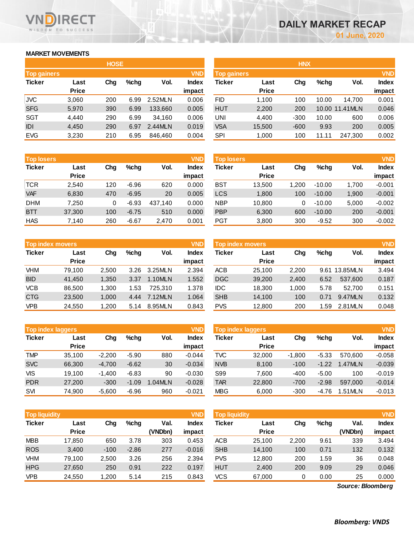# **MARKET MOVEMENTS**

WISDOM TO SUCCESS

ECT

| <b>HOSE</b>        |              |     |      |         |              |  |  |  |  |  |  |
|--------------------|--------------|-----|------|---------|--------------|--|--|--|--|--|--|
| <b>Top gainers</b> |              |     |      |         | <b>VND</b>   |  |  |  |  |  |  |
| <b>Ticker</b>      | Last         | Cha | %chq | Vol.    | <b>Index</b> |  |  |  |  |  |  |
|                    | <b>Price</b> |     |      |         | impact       |  |  |  |  |  |  |
| <b>JVC</b>         | 3,060        | 200 | 6.99 | 2.52MLN | 0.006        |  |  |  |  |  |  |
| <b>SFG</b>         | 5,970        | 390 | 6.99 | 133,660 | 0.005        |  |  |  |  |  |  |
| <b>SGT</b>         | 4.440        | 290 | 6.99 | 34,160  | 0.006        |  |  |  |  |  |  |
| IDI                | 4,450        | 290 | 6.97 | 2.44MLN | 0.019        |  |  |  |  |  |  |
| <b>EVG</b>         | 3,230        | 210 | 6.95 | 846,460 | 0.004        |  |  |  |  |  |  |

| <b>VND</b><br><b>Top losers</b> |              |     |         |         |        | Top losers |              |       |          |       | <b>VND</b> |
|---------------------------------|--------------|-----|---------|---------|--------|------------|--------------|-------|----------|-------|------------|
| <b>Ticker</b>                   | Last         | Chg | %chq    | Vol.    | Index  | Ticker     | Last         | Chg   | $%$ chg  | Vol.  | Index      |
|                                 | <b>Price</b> |     |         |         | impact |            | <b>Price</b> |       |          |       | impact     |
| <b>TCR</b>                      | 2.540        | 120 | $-6.96$ | 620     | 0.000  | BST        | 13.500       | 1.200 | $-10.00$ | 1.700 | $-0.001$   |
| <b>VAF</b>                      | 6,830        | 470 | $-6.95$ | 20      | 0.005  | LCS        | 1,800        | 100   | $-10.00$ | 1.900 | $-0.001$   |
| <b>DHM</b>                      | 7.250        |     | $-6.93$ | 437.140 | 0.000  | <b>NBP</b> | 10.800       | 0     | $-10.00$ | 5,000 | $-0.002$   |
| <b>BTT</b>                      | 37,300       | 100 | $-6.75$ | 510     | 0.000  | <b>PBP</b> | 6,300        | 600   | $-10.00$ | 200   | $-0.001$   |
| <b>HAS</b>                      | 7.140        | 260 | $-6.67$ | 2.470   | 0.001  | PGT        | 3.800        | 300   | $-9.52$  | 300   | $-0.002$   |

| <b>VND</b><br><b>Top index movers</b> |              |       |         |         |              |  |  |  |  |  |  |
|---------------------------------------|--------------|-------|---------|---------|--------------|--|--|--|--|--|--|
| <b>Ticker</b>                         | Last         | Cha   | $%$ chq | Vol.    | <b>Index</b> |  |  |  |  |  |  |
|                                       | <b>Price</b> |       |         |         | impact       |  |  |  |  |  |  |
| <b>VHM</b>                            | 79,100       | 2,500 | 3.26    | 3.25MLN | 2.394        |  |  |  |  |  |  |
| <b>BID</b>                            | 41,450       | 1,350 | 3.37    | 1.10MLN | 1.552        |  |  |  |  |  |  |
| <b>VCB</b>                            | 86,500       | 1,300 | 1.53    | 725.310 | 1.378        |  |  |  |  |  |  |
| <b>CTG</b>                            | 23,500       | 1,000 | 4.44    | 7.12MLN | 1.064        |  |  |  |  |  |  |
| <b>VPB</b>                            | 24,550       | 1,200 | 5.14    | 8.95MLN | 0.843        |  |  |  |  |  |  |

|               | <b>VND</b><br><b>Top index laggers</b> |          |         |         |          |            | <b>VND</b><br>Top index laggers |          |         |         |          |  |
|---------------|----------------------------------------|----------|---------|---------|----------|------------|---------------------------------|----------|---------|---------|----------|--|
| <b>Ticker</b> | Last                                   | Chg      | $%$ chg | Vol.    | Index    | Ticker     | Last                            | Chg      | $%$ chg | Vol.    | Index    |  |
|               | <b>Price</b>                           |          |         |         | impact   |            | <b>Price</b>                    |          |         |         | impact   |  |
| <b>TMP</b>    | 35.100                                 | $-2.200$ | $-5.90$ | 880     | $-0.044$ | <b>TVC</b> | 32,000                          | $-1.800$ | $-5.33$ | 570.600 | $-0.058$ |  |
| <b>SVC</b>    | 66,300                                 | $-4.700$ | $-6.62$ | 30      | $-0.034$ | <b>NVB</b> | 8,100                           | $-100$   | $-1.22$ | 1.47MLN | $-0.039$ |  |
| VIS           | 19.100                                 | $-1.400$ | $-6.83$ | 90      | $-0.030$ | S99        | 7.600                           | -400     | $-5.00$ | 100     | $-0.019$ |  |
| <b>PDR</b>    | 27,200                                 | $-300$   | $-1.09$ | 1.04MLN | $-0.028$ | <b>TAR</b> | 22,800                          | $-700$   | $-2.98$ | 597.000 | $-0.014$ |  |
| <b>SVI</b>    | 74.900                                 | $-5.600$ | $-6.96$ | 960     | $-0.021$ | <b>MBG</b> | 6,000                           | $-300$   | -4.76   | 1.51MLN | $-0.013$ |  |

| <b>VND</b><br><b>Top liquidity</b> |              |        |         |         |          | <b>Top liquidity</b> |              |       |         |                   | <b>VND</b>   |
|------------------------------------|--------------|--------|---------|---------|----------|----------------------|--------------|-------|---------|-------------------|--------------|
| Ticker                             | Last         | Chg    | $%$ chg | Val.    | Index    | Ticker               | Last         | Chg   | $%$ chg | Val.              | <b>Index</b> |
|                                    | <b>Price</b> |        |         | (VNDbn) | impact   |                      | <b>Price</b> |       |         | (VNDbn)           | impact       |
| MBB                                | 17,850       | 650    | 3.78    | 303     | 0.453    | <b>ACB</b>           | 25,100       | 2,200 | 9.61    | 339               | 3.494        |
| <b>ROS</b>                         | 3,400        | $-100$ | $-2.86$ | 277     | $-0.016$ | <b>SHB</b>           | 14,100       | 100   | 0.71    | 132               | 0.132        |
| VHM                                | 79,100       | 2,500  | 3.26    | 256     | 2.394    | <b>PVS</b>           | 12,800       | 200   | 1.59    | 36                | 0.048        |
| <b>HPG</b>                         | 27,650       | 250    | 0.91    | 222     | 0.197    | <b>HUT</b>           | 2,400        | 200   | 9.09    | 29                | 0.046        |
| VPB                                | 24,550       | 1,200  | 5.14    | 215     | 0.843    | <b>VCS</b>           | 67,000       | 0     | 0.00    | 25                | 0.000        |
|                                    |              |        |         |         |          |                      |              |       |         | Source: Bloomberg |              |

*Source: Bloomberg*

|                    |              | <b>HOSE</b> |         |         |              | <b>HNX</b>         |              |        |         |                |              |  |
|--------------------|--------------|-------------|---------|---------|--------------|--------------------|--------------|--------|---------|----------------|--------------|--|
| <b>Top gainers</b> |              |             |         |         | <b>VND</b>   | <b>Top gainers</b> |              |        |         |                | <b>VND</b>   |  |
| Ticker             | Last         | Chg         | $%$ chg | Vol.    | <b>Index</b> | Ticker             | Last         | Chg    | $%$ chg | Vol.           | <b>Index</b> |  |
|                    | <b>Price</b> |             |         |         | impact       |                    | <b>Price</b> |        |         |                | impact       |  |
| JVC                | 3,060        | 200         | 6.99    | 2.52MLN | 0.006        | <b>FID</b>         | 1,100        | 100    | 10.00   | 14.700         | 0.001        |  |
| <b>SFG</b>         | 5,970        | 390         | 6.99    | 133,660 | 0.005        | <b>HUT</b>         | 2,200        | 200    |         | 10.00 11.41MLN | 0.046        |  |
| <b>SGT</b>         | 4,440        | 290         | 6.99    | 34.160  | 0.006        | UNI                | 4,400        | $-300$ | 10.00   | 600            | 0.006        |  |
| IDI                | 4,450        | 290         | 6.97    | 2.44MLN | 0.019        | <b>VSA</b>         | 15,500       | $-600$ | 9.93    | 200            | 0.005        |  |
| <b>EVG</b>         | 3,230        | 210         | 6.95    | 846,460 | 0.004        | <b>SPI</b>         | 1,000        | 100    | 11.11   | 247,300        | 0.002        |  |
|                    |              |             |         |         |              |                    |              |        |         |                |              |  |

| <b>Top losers</b> |              |     |         |         | <b>VND</b>   | <b>Top losers</b> |              |      |          |       | <b>VND</b>   |
|-------------------|--------------|-----|---------|---------|--------------|-------------------|--------------|------|----------|-------|--------------|
| Ticker            | Last         | Chg | $%$ chg | Vol.    | <b>Index</b> | Ticker            | Last         | Chg  | $%$ chg  | Vol.  | <b>Index</b> |
|                   | <b>Price</b> |     |         |         | impact       |                   | <b>Price</b> |      |          |       | impact       |
| TCR               | 2.540        | 120 | $-6.96$ | 620     | 0.000        | BST               | 13.500       | .200 | $-10.00$ | 1,700 | $-0.001$     |
| <b>VAF</b>        | 6,830        | 470 | $-6.95$ | 20      | 0.005        | <b>LCS</b>        | 1,800        | 100  | $-10.00$ | 1,900 | $-0.001$     |
| DHM               | 7.250        |     | $-6.93$ | 437.140 | 0.000        | <b>NBP</b>        | 10,800       | 0    | $-10.00$ | 5.000 | $-0.002$     |
| <b>BTT</b>        | 37,300       | 100 | $-6.75$ | 510     | 0.000        | <b>PBP</b>        | 6,300        | 600  | $-10.00$ | 200   | $-0.001$     |
| HAS               | 7,140        | 260 | $-6.67$ | 2,470   | 0.001        | <b>PGT</b>        | 3,800        | 300  | $-9.52$  | 300   | $-0.002$     |

| <b>Top index movers</b> |       |         |         | <b>VND</b>   |            |              |                  |         |         | <b>VND</b>   |
|-------------------------|-------|---------|---------|--------------|------------|--------------|------------------|---------|---------|--------------|
| Last                    | Chg   | $%$ chg | Vol.    | <b>Index</b> | Ticker     | Last         | Chg              | $%$ chg | Vol.    | <b>Index</b> |
| <b>Price</b>            |       |         |         | impact       |            | <b>Price</b> |                  |         |         | impact       |
| 79.100                  | 2.500 | 3.26    | 3.25MLN | 2.394        | <b>ACB</b> | 25.100       | 2,200            | 9.61    |         | 3.494        |
| 41.450                  | 1.350 | 3.37    | 1.10MLN | 1.552        | <b>DGC</b> | 39,200       | 2.400            | 6.52    | 537.600 | 0.187        |
| 86.500                  | 1.300 | 1.53    | 725.310 | 1.378        | IDC        | 18.300       | 1.000            | 5.78    | 52.700  | 0.151        |
| 23,500                  | 1.000 | 4.44    | 7.12MLN | 1.064        | <b>SHB</b> | 14.100       | 100              | 0.71    | 9.47MLN | 0.132        |
| 24,550                  | 1,200 | 5.14    | 8.95MLN | 0.843        | <b>PVS</b> | 12,800       | 200              | 59. ا   | 2.81MLN | 0.048        |
|                         |       |         |         |              |            |              | Top index movers |         |         | 13.85MLN     |

| <b>Top index laggers</b> |              |          |         |           | <b>VND</b> | <b>Top index laggers</b> |              |          |         |         |              |
|--------------------------|--------------|----------|---------|-----------|------------|--------------------------|--------------|----------|---------|---------|--------------|
| Ticker                   | Last         | Chg      | $%$ chg | Vol.      | Index      | Ticker                   | Last         | Chg      | $%$ chg | Vol.    | <b>Index</b> |
|                          | <b>Price</b> |          |         |           | impact     |                          | <b>Price</b> |          |         |         | impact       |
| TMP                      | 35.100       | $-2.200$ | $-5.90$ | 880       | $-0.044$   | TVC                      | 32,000       | $-1.800$ | $-5.33$ | 570.600 | $-0.058$     |
| <b>SVC</b>               | 66,300       | $-4.700$ | $-6.62$ | 30        | $-0.034$   | <b>NVB</b>               | 8,100        | $-100$   | $-1.22$ | 1.47MLN | $-0.039$     |
| VIS                      | 19.100       | $-1.400$ | $-6.83$ | 90        | $-0.030$   | S99                      | 7.600        | $-400$   | $-5.00$ | 100     | $-0.019$     |
| <b>PDR</b>               | 27,200       | $-300$   | $-1.09$ | $.04$ MLN | $-0.028$   | <b>TAR</b>               | 22,800       | $-700$   | $-2.98$ | 597.000 | $-0.014$     |
| SVI                      | 74.900       | $-5.600$ | $-6.96$ | 960       | $-0.021$   | <b>MBG</b>               | 6,000        | $-300$   | $-4.76$ | 1.51MLN | $-0.013$     |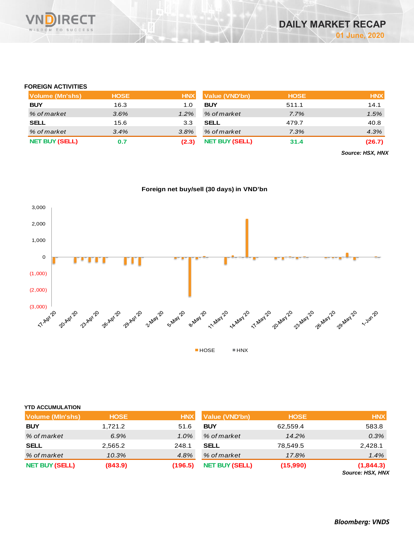

#### **FOREIGN ACTIVITIES**

| Volume (Mn'shs)       | <b>HOSE</b> | <b>HNX</b> | Value (VND'bn)        | <b>HOSE</b> | <b>HNX</b> |
|-----------------------|-------------|------------|-----------------------|-------------|------------|
| <b>BUY</b>            | 16.3        | 1.0        | <b>BUY</b>            | 511.1       | 14.1       |
| % of market           | 3.6%        | 1.2%       | % of market           | 7.7%        | 1.5%       |
| <b>SELL</b>           | 15.6        | 3.3        | <b>SELL</b>           | 479.7       | 40.8       |
| % of market           | 3.4%        | 3.8%       | % of market           | 7.3%        | 4.3%       |
| <b>NET BUY (SELL)</b> | 0.7         | (2.3)      | <b>NET BUY (SELL)</b> | 31.4        | (26.7)     |

*Source: HSX, HNX*

#### **Foreign net buy/sell (30 days) in VND'bn**



| <b>YTD ACCUMULATION</b> |             |            |                       |             |                               |
|-------------------------|-------------|------------|-----------------------|-------------|-------------------------------|
| Volume (MIn'shs)        | <b>HOSE</b> | <b>HNX</b> | <b>Value (VND'bn)</b> | <b>HOSE</b> | <b>HNX</b>                    |
| <b>BUY</b>              | 1,721.2     | 51.6       | <b>BUY</b>            | 62,559.4    | 583.8                         |
| % of market             | 6.9%        | 1.0%       | % of market           | 14.2%       | 0.3%                          |
| <b>SELL</b>             | 2,565.2     | 248.1      | <b>SELL</b>           | 78,549.5    | 2,428.1                       |
| % of market             | 10.3%       | 4.8%       | % of market           | 17.8%       | 1.4%                          |
| <b>NET BUY (SELL)</b>   | (843.9)     | (196.5)    | <b>NET BUY (SELL)</b> | (15,990)    | (1,844.3)<br>Source: HSX, HNX |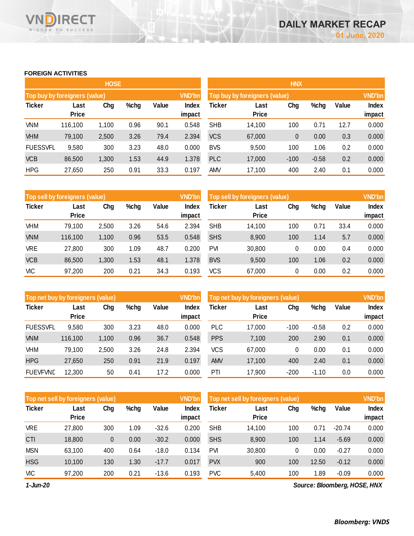#### **FOREIGN ACTIVITIES**

WISDOM TO SUCCESS

**VN** 

**RECT** 

|                               |                      | <b>HOSE</b> |         |       |                 | <b>HNX</b>                    |                      |        |         |       |                 |  |
|-------------------------------|----------------------|-------------|---------|-------|-----------------|-------------------------------|----------------------|--------|---------|-------|-----------------|--|
| Top buy by foreigners (value) |                      |             |         |       | <b>VND'bn</b>   | Top buy by foreigners (value) |                      |        |         |       |                 |  |
| <b>Ticker</b>                 | Last<br><b>Price</b> | Chg         | $%$ chg | Value | Index<br>impact | Ticker                        | Last<br><b>Price</b> | Chg    | %chg    | Value | Index<br>impact |  |
| <b>VNM</b>                    | 116,100              | 1,100       | 0.96    | 90.1  | 0.548           | <b>SHB</b>                    | 14,100               | 100    | 0.71    | 12.7  | 0.000           |  |
| <b>VHM</b>                    | 79,100               | 2,500       | 3.26    | 79.4  | 2.394           | <b>VCS</b>                    | 67,000               | 0      | 0.00    | 0.3   | 0.000           |  |
| <b>FUESSVFL</b>               | 9,580                | 300         | 3.23    | 48.0  | 0.000           | <b>BVS</b>                    | 9,500                | 100    | 1.06    | 0.2   | 0.000           |  |
| <b>VCB</b>                    | 86,500               | 1,300       | 1.53    | 44.9  | 1.378           | <b>PLC</b>                    | 17,000               | $-100$ | $-0.58$ | 0.2   | 0.000           |  |
| <b>HPG</b>                    | 27,650               | 250         | 0.91    | 33.3  | 0.197           | <b>AMV</b>                    | 17,100               | 400    | 2.40    | 0.1   | 0.000           |  |

|               | Top sell by foreigners (value) |       |      |       | <b>VND'bn</b> | Top sell by foreigners (value), |              |     |      |       | <b>VND'bn</b> |
|---------------|--------------------------------|-------|------|-------|---------------|---------------------------------|--------------|-----|------|-------|---------------|
| <b>Ticker</b> | Last                           | Chg   | %chg | Value | Index         | Ticker                          | Last         | Chg | %chg | Value | <b>Index</b>  |
|               | <b>Price</b>                   |       |      |       | impact        |                                 | <b>Price</b> |     |      |       | impact        |
| VHM           | 79.100                         | 2,500 | 3.26 | 54.6  | 2.394         | <b>SHB</b>                      | 14,100       | 100 | 0.71 | 33.4  | 0.000         |
| <b>VNM</b>    | 116.100                        | 1,100 | 0.96 | 53.5  | 0.548         | <b>SHS</b>                      | 8,900        | 100 | 1.14 | 5.7   | 0.000         |
| <b>VRE</b>    | 27,800                         | 300   | 1.09 | 48.7  | 0.200         | <b>PVI</b>                      | 30,800       | 0   | 0.00 | 0.4   | 0.000         |
| <b>VCB</b>    | 86,500                         | 1,300 | 1.53 | 48.1  | 1.378         | <b>BVS</b>                      | 9,500        | 100 | 1.06 | 0.2   | 0.000         |
| <b>VIC</b>    | 97,200                         | 200   | 0.21 | 34.3  | 0.193         | vcs                             | 67,000       | 0   | 0.00 | 0.2   | 0.000         |

| Top net buy by foreigners (value) |              |       |      |       | <b>VND'bn</b> | Top net buy by foreigners (value) |              |        |         |       | <b>VND'bn</b> |
|-----------------------------------|--------------|-------|------|-------|---------------|-----------------------------------|--------------|--------|---------|-------|---------------|
| <b>Ticker</b>                     | Last         | Chg   | %chg | Value | Index         | Ticker                            | Last         | Chg    | %chg    | Value | <b>Index</b>  |
|                                   | <b>Price</b> |       |      |       | impact        |                                   | <b>Price</b> |        |         |       | impact        |
| <b>FUESSVFL</b>                   | 9,580        | 300   | 3.23 | 48.0  | 0.000         | <b>PLC</b>                        | 17,000       | $-100$ | $-0.58$ | 0.2   | 0.000         |
| <b>VNM</b>                        | 116.100      | 1,100 | 0.96 | 36.7  | 0.548         | <b>PPS</b>                        | 7,100        | 200    | 2.90    | 0.1   | 0.000         |
| <b>VHM</b>                        | 79.100       | 2,500 | 3.26 | 24.8  | 2.394         | <b>VCS</b>                        | 67,000       | 0      | 0.00    | 0.1   | 0.000         |
| <b>HPG</b>                        | 27,650       | 250   | 0.91 | 21.9  | 0.197         | <b>AMV</b>                        | 17,100       | 400    | 2.40    | 0.1   | 0.000         |
| <b>FUEVFVND</b>                   | 12,300       | 50    | 0.41 | 17.2  | 0.000         | PTI                               | 17,900       | $-200$ | $-1.10$ | 0.0   | 0.000         |
|                                   |              |       |      |       |               |                                   |              |        |         |       |               |

|               | Top net sell by foreigners (value) |     |         |         |                 | <b>VND'bn</b><br>Top net sell by foreigners (value) |                      |     |       |          |                        |
|---------------|------------------------------------|-----|---------|---------|-----------------|-----------------------------------------------------|----------------------|-----|-------|----------|------------------------|
| <b>Ticker</b> | Last<br><b>Price</b>               | Chg | $%$ chg | Value   | Index<br>impact | Ticker                                              | Last<br><b>Price</b> | Chg | %chg  | Value    | <b>Index</b><br>impact |
| VRE           | 27,800                             | 300 | 1.09    | $-32.6$ | 0.200           | <b>SHB</b>                                          | 14,100               | 100 | 0.71  | $-20.74$ | 0.000                  |
| CTI           | 18,800                             | 0   | 0.00    | $-30.2$ | 0.000           | <b>SHS</b>                                          | 8,900                | 100 | 1.14  | $-5.69$  | 0.000                  |
| <b>MSN</b>    | 63,100                             | 400 | 0.64    | $-18.0$ | 0.134           | <b>PVI</b>                                          | 30,800               | 0   | 0.00  | $-0.27$  | 0.000                  |
| <b>HSG</b>    | 10.100                             | 130 | 1.30    | $-17.7$ | 0.017           | <b>PVX</b>                                          | 900                  | 100 | 12.50 | $-0.12$  | 0.000                  |
| VIC           | 97,200                             | 200 | 0.21    | $-13.6$ | 0.193           | <b>PVC</b>                                          | 5,400                | 100 | 1.89  | $-0.09$  | 0.000                  |

*1-Jun-20*

*Source: Bloomberg, HOSE, HNX*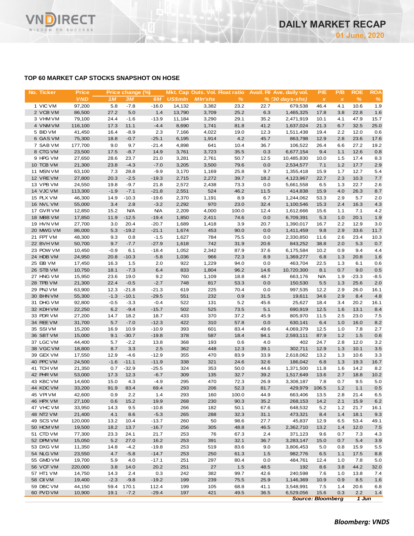

## **TOP 60 MARKET CAP STOCKS SNAPSHOT ON HOSE**

| No. Ticker             | <b>Price</b>      |                | Price change (%)  |                    |                |                |              |              | Mkt. Cap Outs. Vol. Float ratio Avail. Fil Ave. daily vol. | P/E          | P/B          | <b>ROE</b>    | <b>ROA</b>   |
|------------------------|-------------------|----------------|-------------------|--------------------|----------------|----------------|--------------|--------------|------------------------------------------------------------|--------------|--------------|---------------|--------------|
|                        | <b>VND</b>        | 1M             | <b>3M</b>         | 6M                 | <b>US\$mln</b> | <b>MIn'shs</b> | %            |              | $% (30 days-shs)$                                          | $\pmb{\chi}$ | $\pmb{\chi}$ | $\frac{9}{6}$ | %            |
| 1 VIC VM               | 97,200            | 5.8            | $-7.8$            | $-16.0$            | 14,132         | 3,382          | 23.2         | 22.7         | 679,538                                                    | 46.4         | 4.1          | 10.6          | 1.9          |
| 2 VCB VM               | 86,500            | 27.2           | 5.0               | 1.4                | 13,790         | 3,709          | 25.2         | 6.3          | 1,465,325                                                  | 17.8         | 3.8          | 22.8          | 1.6          |
| 3 VHM VM               | 79,100            | 24.4           | $-1.6$            | $-13.9$            | 11,184         | 3,290          | 29.1         | 35.2         | 2,471,919                                                  | 10.1         | 4.1          | 47.9          | 15.7         |
| 4 VNM VM               | 116,100           | 17.3           | 11.1              | $-4.4$             | 8,690          | 1,741          | 81.8         | 41.2         | 1,637,024                                                  | 21.3         | 6.7          | 32.5          | 25.0         |
| 5 BID VM<br>6 GAS VM   | 41,450            | 16.4           | $-8.9$            | 2.3                | 7,166          | 4,022          | 19.0<br>4.2  | 12.3         | 1,511,438                                                  | 19.4         | 2.2          | 12.0          | 0.6          |
| 7 SAB VM               | 75,300<br>177,700 | 18.8<br>9.0    | $-0.7$<br>9.7     | $-25.1$<br>$-21.4$ | 6,195<br>4,898 | 1,914<br>641   | 10.4         | 45.7<br>36.7 | 863,798<br>106,522                                         | 12.9<br>26.4 | 2.8<br>6.6   | 23.6<br>27.2  | 17.6<br>19.2 |
| 8 CTG VM               | 23,500            | 17.5           | $-8.7$            | 14.9               | 3,761          | 3,723          | 35.5         | 0.3          | 6,677,154                                                  | 9.4          | 1.1          | 12.6          | 0.8          |
| 9 HPG VM               | 27,650            | 28.6           | 23.7              | 21.0               | 3,281          | 2,761          | 50.7         | 12.5         | 10,485,830                                                 | 10.0         | 1.5          | 17.4          | 8.3          |
| 10 TCB VM              | 21,300            | 23.8           | $-4.3$            | $-7.0$             | 3,205          | 3,500          | 79.6         | 0.0          | 2,534,577                                                  | 7.1          | 1.2          | 17.7          | 2.9          |
| 11 MSN VM              | 63,100            | 7.3            | 28.8              | $-9.9$             | 3,170          | 1,169          | 25.8         | 9.7          | 1,355,418                                                  | 15.9         | 1.7          | 12.7          | 5.4          |
| 12 VREVM               | 27,800            | 20.3           | $-2.5$            | $-19.3$            | 2,715          | 2,272          | 39.7         | 18.2         | 4,123,967                                                  | 22.7         | 2.3          | 10.3          | 7.7          |
| 13 VPB VM              | 24,550            | 19.8           | $-9.7$            | 21.8               | 2,572          | 2,438          | 73.3         | 0.0          | 5,661,558                                                  | 6.5          | 1.3          | 22.7          | 2.6          |
| 14 VJC VM              | 113,300           | $-1.9$         | $-7.1$            | $-21.8$            | 2,551          | 524            | 46.2         | 11.5         | 414,838                                                    | 15.9         | 4.0          | 26.3          | 8.7          |
| 15 PLX VM              | 46,300            | 14.9           | $-10.3$           | $-19.6$            | 2,370          | 1,191          | 8.9          | 6.7          | 1,244,062                                                  | 53.3         | 2.9          | 5.7           | 2.0          |
| 16 NVL VM              | 55,000            | 3.4            | 2.8               | $-3.2$             | 2,292          | 970            | 23.0         | 32.4         | 1,100,546                                                  | 15.3         | 2.4          | 16.3          | 4.3          |
| 17 GVR VM              | 12,850            | 15.2           | <b>N/A</b>        | <b>N/A</b>         | 2,209          | 4,000          | 100.0        | 12.4         | 1,612,666                                                  | 15.6         | 1.1          | 7.1           | 4.2          |
| 18 MBB VM              | 17,850            | 11.9           | $-12.5$           | $-19.4$            | 1,850          | 2,411          | 74.6         | 0.0          | 6,709,391                                                  | 5.3          | 1.0          | 20.1          | 1.9          |
| 19 HVN VM              | 27,700            | 3.0            | 20.4              | $-20.7$            | 1,689          | 1,418          | 3.9          | 20.7         | 1,390,017                                                  | 16.7         | 2.2          | 12.9          | 3.0          |
| 20 MWG VM              | 86,000            | 5.3            | $-19.2$           | $-21.1$            | 1,674          | 453            | 90.0         | 0.0          | 1,411,459                                                  | 9.8          | 2.9          | 33.6          | 11.7         |
| 21 FPT VM              | 48,300            | 9.3            | 0.8               | $-1.5$             | 1,627          | 784            | 75.5         | 0.0          | 2,330,850                                                  | 11.6         | 2.6          | 23.4          | 10.3         |
| 22 BVHVM               | 50,700            | 9.7            | $-7.7$            | $-27.9$            | 1,618          | 742            | 31.9         | 20.6         | 843,252                                                    | 38.8         | 2.0          | 5.3           | 0.7          |
| 23 POW VM              | 10,450            | $-0.9$         | 6.1               | $-18.4$            | 1,052          | 2,342          | 87.9         | 37.6         | 6,175,584                                                  | 10.2<br>6.8  | 0.9          | 9.4           | 4.4          |
| 24 HDB VM<br>25 EIB VM | 24,950<br>17,450  | 20.8<br>16.3   | $-10.3$<br>1.5    | $-5.8$<br>2.0      | 1,036<br>922   | 966<br>1,229   | 72.3<br>94.0 | 8.9<br>0.0   | 1,369,277<br>463,704                                       | 22.5         | 1.3<br>1.3   | 20.8<br>6.1   | 1.6<br>0.6   |
| 26 STB VM              | 10,750            | 18.1           | $-7.3$            | 6.4                | 833            | 1,804          | 96.2         | 14.6         | 10,720,300                                                 | 8.1          | 0.7          | 9.0           | 0.5          |
| 27 HNG VM              | 15,950            | 23.6           | 19.0              | 9.2                | 760            | 1,109          | 18.8         | 48.7         | 663,176                                                    | <b>N/A</b>   | 1.9          | $-23.3$       | $-8.5$       |
| 28 TPB VM              | 21,300            | 22.4           | $-0.5$            | $-2.7$             | 748            | 817            | 53.3         | 0.0          | 150,530                                                    | 5.5          | 1.3          | 25.6          | 2.0          |
| 29 PNJ VM              | 63,900            | 12.3           | $-21.8$           | $-21.3$            | 619            | 225            | 70.4         | 0.0          | 997,535                                                    | 12.2         | 2.9          | 26.0          | 16.1         |
| 30 BHN VM              | 55,300            | $-1.3$         | $-10.1$           | $-29.5$            | 551            | 232            | 0.9          | 31.5         | 19,611                                                     | 34.6         | 2.9          | 8.4           | 4.8          |
| 31 DHG VM              | 92,800            | $-0.5$         | $-3.3$            | $-0.4$             | 522            | 131            | 5.2          | 45.6         | 25,627                                                     | 18.4         | 3.4          | 20.2          | 16.1         |
| 32 KDH VM              | 22,250            | 6.2            | $-9.4$            | $-15.7$            | 502            | 525            | 73.5         | 5.1          | 690,919                                                    | 12.5         | 1.6          | 13.1          | 8.4          |
| 33 PDR VM              | 27,200            | 14.7           | 18.2              | 18.7               | 433            | 370            | 37.2         | 45.9         | 805,970                                                    | 11.5         | 2.5          | 23.0          | 7.5          |
| 34 REE VM              | 31,700            | 5.7            | $-7.0$            | $-12.3$            | 422            | 310            | 57.8         | 0.0          | 630,141                                                    | 6.4          | 1.0          | 16.0          | 8.2          |
| 35 SSI VM              | 15,200            | 16.9           | 10.9              | $-10.9$            | 393            | 601            | 83.4         | 49.6         | 4,069,379                                                  | 12.5         | 1.0          | 7.8           | 2.7          |
| 36 SBT VM              | 15,000            | 9.1            | $-30.7$           | $-19.8$            | 378            | 587            | 18.4         | 94.1         | 2,593,111                                                  | 87.9         | 1.2          | 1.5           | 0.6          |
| 37 LGC VM              | 44,400            | 5.7            | $-2.2$            | 13.8               | 368            | 193            | 0.6          | 4.0          | 402                                                        | 24.7         | 2.8          | 12.0          | 3.2          |
| 38 VGC VM<br>39 GEX VM | 18,800            | 8.7            | 3.3               | 2.5                | 362            | 448            | 12.3         | 39.1         | 302,711                                                    | 12.9         | 1.3          | 10.1          | 3.5          |
| 40 PPC VM              | 17,550<br>24,500  | 12.9<br>$-1.6$ | $-4.6$<br>$-11.1$ | $-12.9$<br>$-11.9$ | 355<br>338     | 470<br>321     | 83.9<br>24.6 | 33.9<br>32.6 | 2,618,062<br>186,042                                       | 13.2<br>6.8  | 1.3<br>1.3   | 10.6<br>19.3  | 3.3<br>16.7  |
| 41 TCH VM              | 21,350            | 0.7            | $-32.9$           | -25.5              | 324            | 353            | 50.0         | 44.6         | 1,371,500                                                  | 11.8         | 1.6          | 14.2          | 8.2          |
| 42 PHR VM              | 53,000            | 17.3           | 12.3              | $-6.7$             | 309            | 135            | 32.7         | 39.2         | 1,517,649                                                  | 13.6         | 2.7          | 18.8          | 10.2         |
| 43 KBC VM              | 14,600            | 15.0           | 4.3               | $-4.9$             | 295            | 470            | 72.3         | 26.9         | 3,308,187                                                  | 7.8          | 0.7          | 9.5           | 5.0          |
| 44 KDC VM              | 33,200            | 91.9           | 83.4              | 69.4               | 293            | 206            | 52.3         | 81.7         | 429,979                                                    | 106.5        | 1.2          | 1.1           | 0.5          |
| 45 VPIVM               | 42,600            | 0.9            | 2.2               | 1.4                | 293            | 160            | 100.0        | 44.9         | 663,406                                                    | 13.5         | 2.8          | 21.4          | 6.5          |
| 46 HPX VM              | 27,100            | 0.6            | 15.2              | 19.9               | 268            | 230            | 90.3         | 35.2         | 268,153                                                    | 14.2         | 2.1          | 15.9          | 6.2          |
| 47 VHC VM              | 33,950            | 14.3           | 9.5               | $-10.8$            | 266            | 182            | 50.1         | 67.6         | 648,532                                                    | 5.2          | $1.2$        | 21.7          | 16.1         |
| 48 NT2 VM              | 21,400            | 4.1            | 8.6               | $-5.3$             | 265            | 288            | 32.3         | 31.1         | 473,321                                                    | 8.4          | 1.4          | 18.1          | 9.3          |
| 49 SCS VM              | 120,000           | 13.2           | 10.4              | $-13.7$            | 260            | 50             | 98.6         | 27.7         | 45,837                                                     | 12.9         | 6.5          | 53.4          | 49.1         |
| 50 HCM VM              | 19,500            | 18.2           | 13.7              | $-16.7$            | 256            | 305            | 48.8         | 46.5         | 2,362,710                                                  | 13.2         | 1.4          | 12.0          | 7.5          |
| 51 CTD VM              | 77,300            | 23.3           | 24.1              | 21.7               | 253            | 76             | 67.3         | 2.4          | 371,123                                                    | 9.6          | 0.7          | 7.3           | 4.3          |
| 52 DPM VM              | 15,050            | 5.2            | 27.0              | 16.2               | 253            | 391            | 32.1         | 36.7         | 3,283,147                                                  | 15.0         | 0.7          | 5.4           | 3.9          |
| 53 DXG VM              | 11,350            | 14.8           | $-4.2$            | $-19.8$            | 253            | 519            | 83.6         | 9.0          | 3,806,453                                                  | 5.0          | 0.8          | 15.9          | 5.5          |
| 54 NLG VM              | 23,550            | 4.7            | $-5.8$            | $-14.7$            | 253            | 250            | 61.3         | 1.5          | 982,776                                                    | 6.5          | 1.1          | 17.5          | 8.8          |
| 55 GMD VM              | 19,700            | 5.9            | 4.0               | $-17.1$            | 251            | 297            | 80.4         | 0.0          | 484,761                                                    | 12.4         | 1.0          | 7.8           | 5.0          |
| 56 VCF VM              | 220,000           | 3.8            | 14.0              | 20.2               | 251            | 27             | 1.5          | 48.5         | 192                                                        | 8.6          | 3.8          | 44.2          | 32.0         |
| 57 HT1 VM              | 14,750            | 14.3           | 2.4               | 0.3                | 242            | 382            | 99.7         | 42.6         | 240,598                                                    | 7.6          | 1.0          | 13.8          | 7.4          |
| 58 CII VM<br>59 DBC VM | 19,400<br>44,150  | $-2.3$<br>59.4 | $-9.8$<br>170.1   | $-19.2$<br>112.4   | 199<br>199     | 239<br>105     | 75.5<br>68.8 | 25.9<br>41.1 | 1,146,369<br>3,548,991                                     | 10.9<br>7.5  | 0.9<br>1.4   | 8.5<br>20.6   | 1.6          |
| 60 PVD VM              | 10,900            | 19.1           | $-7.2$            | $-29.4$            | 197            | 421            | 49.5         | 36.5         | 6,529,056                                                  | 15.6         | 0.3          | 2.2           | 6.8<br>1.4   |
|                        |                   |                |                   |                    |                |                |              |              |                                                            |              |              |               |              |